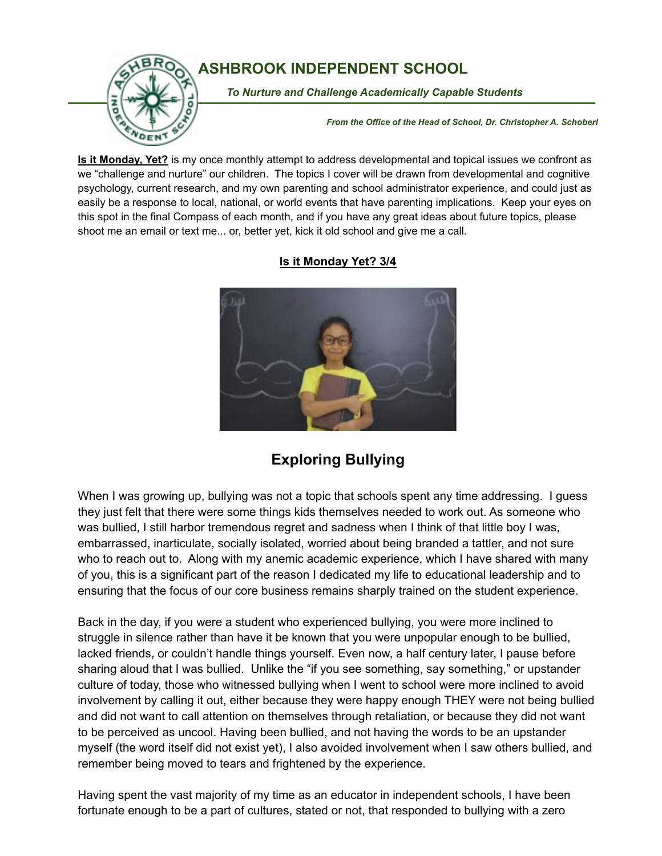

## **ASHBROOK INDEPENDENT SCHOOL**

To Nurture and Challenge Academically Capable Students

*From the Office of the Head of School, Dr. Christopher A. Schoberl*

**Is it Monday, Yet?** is my once monthly attempt to address developmental and topical issues we confront as we "challenge and nurture" our children. The topics I cover will be drawn from developmental and cognitive psychology, current research, and my own parenting and school administrator experience, and could just as easily be a response to local, national, or world events that have parenting implications. Keep your eyes on this spot in the final Compass of each month, and if you have any great ideas about future topics, please shoot me an email or text me... or, better yet, kick it old school and give me a call.



## **Is it Monday Yet? 3/4**

## **Exploring Bullying**

When I was growing up, bullying was not a topic that schools spent any time addressing. I guess they just felt that there were some things kids themselves needed to work out. As someone who was bullied, I still harbor tremendous regret and sadness when I think of that little boy I was, embarrassed, inarticulate, socially isolated, worried about being branded a tattler, and not sure who to reach out to. Along with my anemic academic experience, which I have shared with many of you, this is a significant part of the reason I dedicated my life to educational leadership and to ensuring that the focus of our core business remains sharply trained on the student experience.

Back in the day, if you were a student who experienced bullying, you were more inclined to struggle in silence rather than have it be known that you were unpopular enough to be bullied, lacked friends, or couldn't handle things yourself. Even now, a half century later, I pause before sharing aloud that I was bullied. Unlike the "if you see something, say something," or upstander culture of today, those who witnessed bullying when I went to school were more inclined to avoid involvement by calling it out, either because they were happy enough THEY were not being bullied and did not want to call attention on themselves through retaliation, or because they did not want to be perceived as uncool. Having been bullied, and not having the words to be an upstander myself (the word itself did not exist yet), I also avoided involvement when I saw others bullied, and remember being moved to tears and frightened by the experience.

Having spent the vast majority of my time as an educator in independent schools, I have been fortunate enough to be a part of cultures, stated or not, that responded to bullying with a zero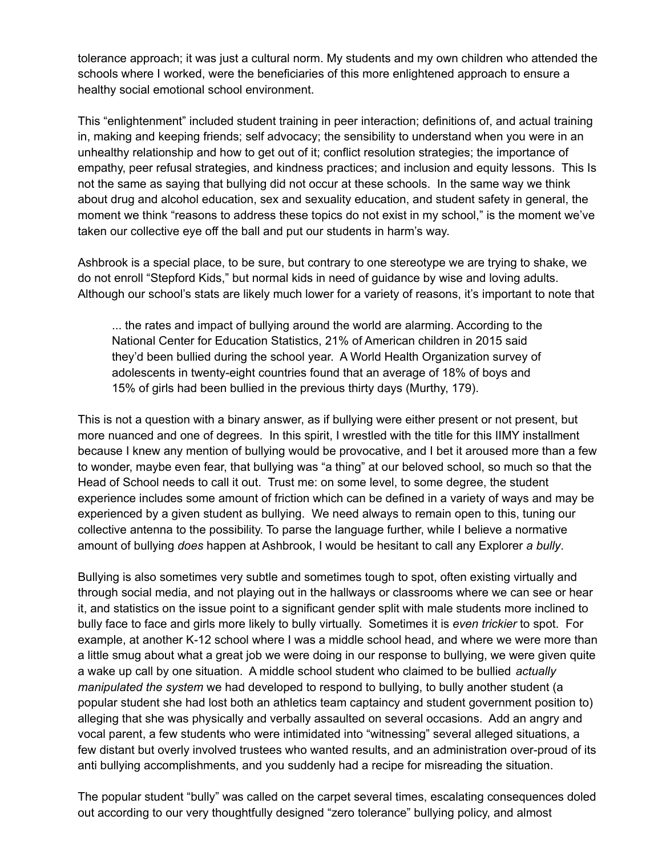tolerance approach; it was just a cultural norm. My students and my own children who attended the schools where I worked, were the beneficiaries of this more enlightened approach to ensure a healthy social emotional school environment.

This "enlightenment" included student training in peer interaction; definitions of, and actual training in, making and keeping friends; self advocacy; the sensibility to understand when you were in an unhealthy relationship and how to get out of it; conflict resolution strategies; the importance of empathy, peer refusal strategies, and kindness practices; and inclusion and equity lessons. This Is not the same as saying that bullying did not occur at these schools. In the same way we think about drug and alcohol education, sex and sexuality education, and student safety in general, the moment we think "reasons to address these topics do not exist in my school," is the moment we've taken our collective eye off the ball and put our students in harm's way.

Ashbrook is a special place, to be sure, but contrary to one stereotype we are trying to shake, we do not enroll "Stepford Kids," but normal kids in need of guidance by wise and loving adults. Although our school's stats are likely much lower for a variety of reasons, it's important to note that

... the rates and impact of bullying around the world are alarming. According to the National Center for Education Statistics, 21% of American children in 2015 said they'd been bullied during the school year. A World Health Organization survey of adolescents in twenty-eight countries found that an average of 18% of boys and 15% of girls had been bullied in the previous thirty days (Murthy, 179).

This is not a question with a binary answer, as if bullying were either present or not present, but more nuanced and one of degrees. In this spirit, I wrestled with the title for this IIMY installment because I knew any mention of bullying would be provocative, and I bet it aroused more than a few to wonder, maybe even fear, that bullying was "a thing" at our beloved school, so much so that the Head of School needs to call it out. Trust me: on some level, to some degree, the student experience includes some amount of friction which can be defined in a variety of ways and may be experienced by a given student as bullying. We need always to remain open to this, tuning our collective antenna to the possibility. To parse the language further, while I believe a normative amount of bullying *does* happen at Ashbrook, I would be hesitant to call any Explorer *a bully*.

Bullying is also sometimes very subtle and sometimes tough to spot, often existing virtually and through social media, and not playing out in the hallways or classrooms where we can see or hear it, and statistics on the issue point to a significant gender split with male students more inclined to bully face to face and girls more likely to bully virtually. Sometimes it is *even trickier* to spot. For example, at another K-12 school where I was a middle school head, and where we were more than a little smug about what a great job we were doing in our response to bullying, we were given quite a wake up call by one situation. A middle school student who claimed to be bullied *actually manipulated the system* we had developed to respond to bullying, to bully another student (a popular student she had lost both an athletics team captaincy and student government position to) alleging that she was physically and verbally assaulted on several occasions. Add an angry and vocal parent, a few students who were intimidated into "witnessing" several alleged situations, a few distant but overly involved trustees who wanted results, and an administration over-proud of its anti bullying accomplishments, and you suddenly had a recipe for misreading the situation.

The popular student "bully" was called on the carpet several times, escalating consequences doled out according to our very thoughtfully designed "zero tolerance" bullying policy, and almost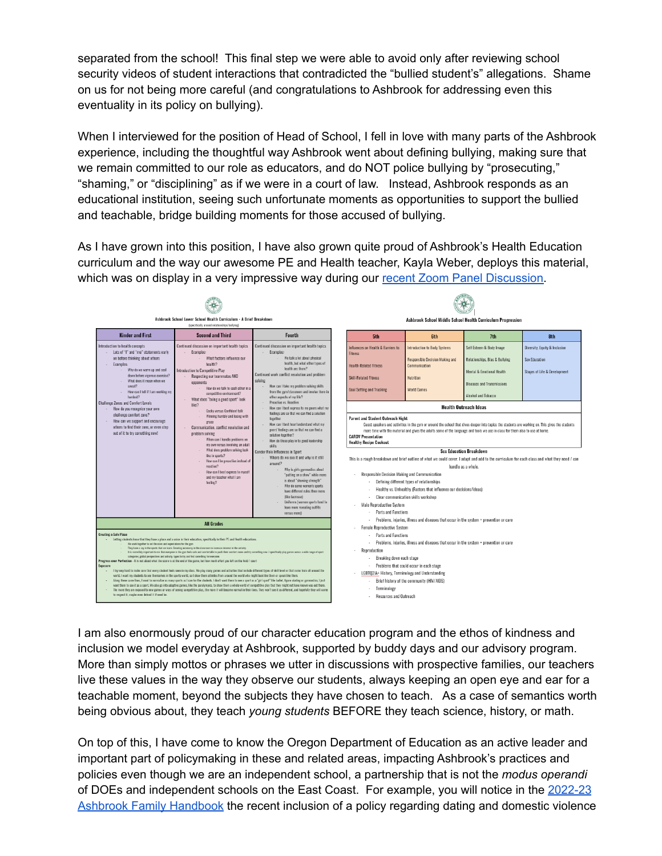separated from the school! This final step we were able to avoid only after reviewing school security videos of student interactions that contradicted the "bullied student's" allegations. Shame on us for not being more careful (and congratulations to Ashbrook for addressing even this eventuality in its policy on bullying).

When I interviewed for the position of Head of School, I fell in love with many parts of the Ashbrook experience, including the thoughtful way Ashbrook went about defining bullying, making sure that we remain committed to our role as educators, and do NOT police bullying by "prosecuting," "shaming," or "disciplining" as if we were in a court of law. Instead, Ashbrook responds as an educational institution, seeing such unfortunate moments as opportunities to support the bullied and teachable, bridge building moments for those accused of bullying.

As I have grown into this position, I have also grown quite proud of Ashbrook's Health Education curriculum and the way our awesome PE and Health teacher, Kayla Weber, deploys this material, which was on display in a very impressive way during our recent Zoom Panel [Discussion.](https://drive.google.com/file/d/1E6GeiwdGkm00AHZKJRvM4Q7u5jZYFcuS/view?usp=sharing)



I am also enormously proud of our character education program and the ethos of kindness and inclusion we model everyday at Ashbrook, supported by buddy days and our advisory program. More than simply mottos or phrases we utter in discussions with prospective families, our teachers live these values in the way they observe our students, always keeping an open eye and ear for a teachable moment, beyond the subjects they have chosen to teach. As a case of semantics worth being obvious about, they teach *young students* BEFORE they teach science, history, or math.

On top of this, I have come to know the Oregon Department of Education as an active leader and important part of policymaking in these and related areas, impacting Ashbrook's practices and policies even though we are an independent school, a partnership that is not the *modus operandi* of DOEs and independent schools on the East Coast. For example, you will notice in the [2022-23](https://docs.google.com/document/d/1Rc_jqDk0yTteg3rUOSRCo8EpaeiIaOrxo6DyVO01u5s/edit) Ashbrook Family [Handbook](https://docs.google.com/document/d/1Rc_jqDk0yTteg3rUOSRCo8EpaeiIaOrxo6DyVO01u5s/edit) the recent inclusion of a policy regarding dating and domestic violence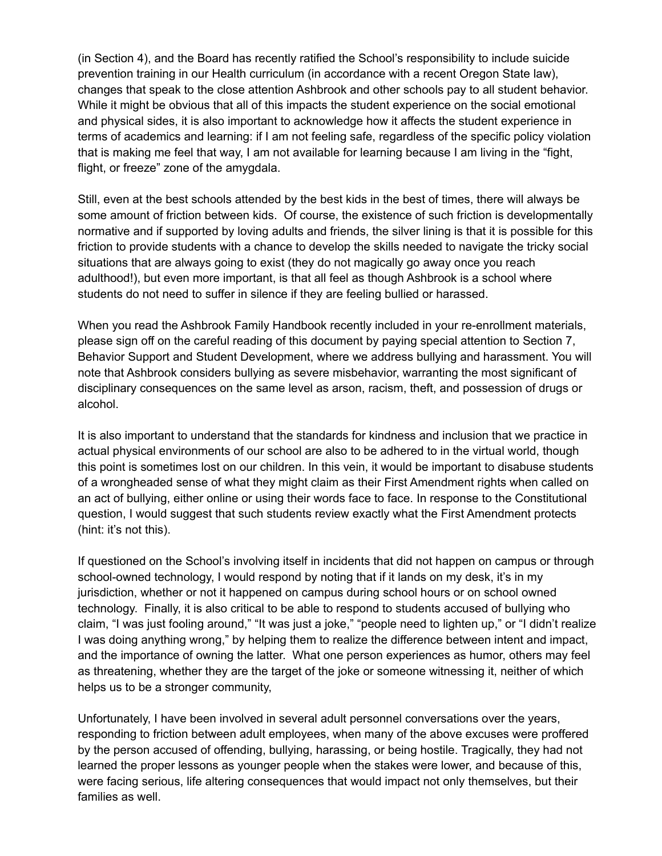(in Section 4), and the Board has recently ratified the School's responsibility to include suicide prevention training in our Health curriculum (in accordance with a recent Oregon State law), changes that speak to the close attention Ashbrook and other schools pay to all student behavior. While it might be obvious that all of this impacts the student experience on the social emotional and physical sides, it is also important to acknowledge how it affects the student experience in terms of academics and learning: if I am not feeling safe, regardless of the specific policy violation that is making me feel that way, I am not available for learning because I am living in the "fight, flight, or freeze" zone of the amygdala.

Still, even at the best schools attended by the best kids in the best of times, there will always be some amount of friction between kids. Of course, the existence of such friction is developmentally normative and if supported by loving adults and friends, the silver lining is that it is possible for this friction to provide students with a chance to develop the skills needed to navigate the tricky social situations that are always going to exist (they do not magically go away once you reach adulthood!), but even more important, is that all feel as though Ashbrook is a school where students do not need to suffer in silence if they are feeling bullied or harassed.

When you read the Ashbrook Family Handbook recently included in your re-enrollment materials, please sign off on the careful reading of this document by paying special attention to Section 7, Behavior Support and Student Development, where we address bullying and harassment. You will note that Ashbrook considers bullying as severe misbehavior, warranting the most significant of disciplinary consequences on the same level as arson, racism, theft, and possession of drugs or alcohol.

It is also important to understand that the standards for kindness and inclusion that we practice in actual physical environments of our school are also to be adhered to in the virtual world, though this point is sometimes lost on our children. In this vein, it would be important to disabuse students of a wrongheaded sense of what they might claim as their First Amendment rights when called on an act of bullying, either online or using their words face to face. In response to the Constitutional question, I would suggest that such students review exactly what the First Amendment protects (hint: it's not this).

If questioned on the School's involving itself in incidents that did not happen on campus or through school-owned technology, I would respond by noting that if it lands on my desk, it's in my jurisdiction, whether or not it happened on campus during school hours or on school owned technology. Finally, it is also critical to be able to respond to students accused of bullying who claim, "I was just fooling around," "It was just a joke," "people need to lighten up," or "I didn't realize I was doing anything wrong," by helping them to realize the difference between intent and impact, and the importance of owning the latter. What one person experiences as humor, others may feel as threatening, whether they are the target of the joke or someone witnessing it, neither of which helps us to be a stronger community,

Unfortunately, I have been involved in several adult personnel conversations over the years, responding to friction between adult employees, when many of the above excuses were proffered by the person accused of offending, bullying, harassing, or being hostile. Tragically, they had not learned the proper lessons as younger people when the stakes were lower, and because of this, were facing serious, life altering consequences that would impact not only themselves, but their families as well.